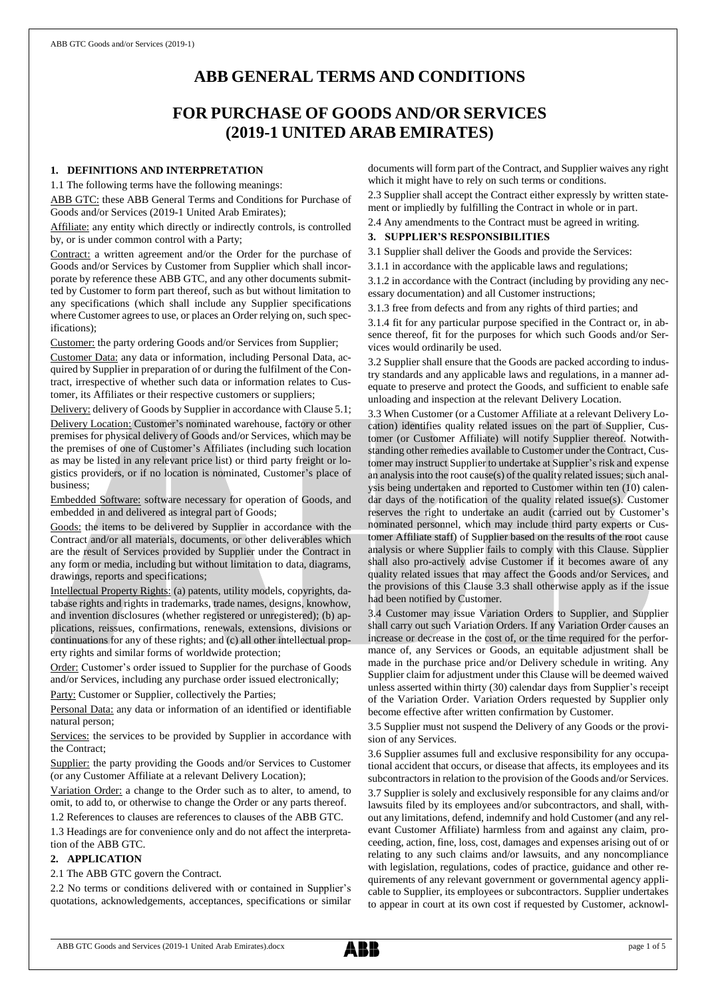# **ABB GENERAL TERMS AND CONDITIONS**

# **FOR PURCHASE OF GOODS AND/OR SERVICES (2019-1 UNITED ARAB EMIRATES)**

# **1. DEFINITIONS AND INTERPRETATION**

1.1 The following terms have the following meanings:

ABB GTC: these ABB General Terms and Conditions for Purchase of Goods and/or Services (2019-1 United Arab Emirates);

Affiliate: any entity which directly or indirectly controls, is controlled by, or is under common control with a Party;

Contract: a written agreement and/or the Order for the purchase of Goods and/or Services by Customer from Supplier which shall incorporate by reference these ABB GTC, and any other documents submitted by Customer to form part thereof, such as but without limitation to any specifications (which shall include any Supplier specifications where Customer agrees to use, or places an Order relying on, such specifications);

Customer: the party ordering Goods and/or Services from Supplier;

Customer Data: any data or information, including Personal Data, acquired by Supplier in preparation of or during the fulfilment of the Contract, irrespective of whether such data or information relates to Customer, its Affiliates or their respective customers or suppliers;

Delivery: delivery of Goods by Supplier in accordance with Clause 5.1;

Delivery Location: Customer's nominated warehouse, factory or other premises for physical delivery of Goods and/or Services, which may be the premises of one of Customer's Affiliates (including such location as may be listed in any relevant price list) or third party freight or logistics providers, or if no location is nominated, Customer's place of business;

Embedded Software: software necessary for operation of Goods, and embedded in and delivered as integral part of Goods;

Goods: the items to be delivered by Supplier in accordance with the Contract and/or all materials, documents, or other deliverables which are the result of Services provided by Supplier under the Contract in any form or media, including but without limitation to data, diagrams, drawings, reports and specifications;

Intellectual Property Rights: (a) patents, utility models, copyrights, database rights and rights in trademarks, trade names, designs, knowhow, and invention disclosures (whether registered or unregistered); (b) applications, reissues, confirmations, renewals, extensions, divisions or continuations for any of these rights; and (c) all other intellectual property rights and similar forms of worldwide protection;

Order: Customer's order issued to Supplier for the purchase of Goods and/or Services, including any purchase order issued electronically;

Party: Customer or Supplier, collectively the Parties;

Personal Data: any data or information of an identified or identifiable natural person;

Services: the services to be provided by Supplier in accordance with the Contract;

Supplier: the party providing the Goods and/or Services to Customer (or any Customer Affiliate at a relevant Delivery Location);

Variation Order: a change to the Order such as to alter, to amend, to omit, to add to, or otherwise to change the Order or any parts thereof.

1.2 References to clauses are references to clauses of the ABB GTC.

1.3 Headings are for convenience only and do not affect the interpretation of the ABB GTC.

# **2. APPLICATION**

2.1 The ABB GTC govern the Contract.

2.2 No terms or conditions delivered with or contained in Supplier's quotations, acknowledgements, acceptances, specifications or similar documents will form part of the Contract, and Supplier waives any right which it might have to rely on such terms or conditions.

2.3 Supplier shall accept the Contract either expressly by written statement or impliedly by fulfilling the Contract in whole or in part.

2.4 Any amendments to the Contract must be agreed in writing.

## **3. SUPPLIER'S RESPONSIBILITIES**

3.1 Supplier shall deliver the Goods and provide the Services:

3.1.1 in accordance with the applicable laws and regulations;

3.1.2 in accordance with the Contract (including by providing any necessary documentation) and all Customer instructions;

3.1.3 free from defects and from any rights of third parties; and

3.1.4 fit for any particular purpose specified in the Contract or, in absence thereof, fit for the purposes for which such Goods and/or Services would ordinarily be used.

3.2 Supplier shall ensure that the Goods are packed according to industry standards and any applicable laws and regulations, in a manner adequate to preserve and protect the Goods, and sufficient to enable safe unloading and inspection at the relevant Delivery Location.

3.3 When Customer (or a Customer Affiliate at a relevant Delivery Location) identifies quality related issues on the part of Supplier, Customer (or Customer Affiliate) will notify Supplier thereof. Notwithstanding other remedies available to Customer under the Contract, Customer may instruct Supplier to undertake at Supplier's risk and expense an analysis into the root cause(s) of the quality related issues; such analysis being undertaken and reported to Customer within ten (10) calendar days of the notification of the quality related issue(s). Customer reserves the right to undertake an audit (carried out by Customer's nominated personnel, which may include third party experts or Customer Affiliate staff) of Supplier based on the results of the root cause analysis or where Supplier fails to comply with this Clause. Supplier shall also pro-actively advise Customer if it becomes aware of any quality related issues that may affect the Goods and/or Services, and the provisions of this Clause 3.3 shall otherwise apply as if the issue had been notified by Customer.

3.4 Customer may issue Variation Orders to Supplier, and Supplier shall carry out such Variation Orders. If any Variation Order causes an increase or decrease in the cost of, or the time required for the performance of, any Services or Goods, an equitable adjustment shall be made in the purchase price and/or Delivery schedule in writing. Any Supplier claim for adjustment under this Clause will be deemed waived unless asserted within thirty (30) calendar days from Supplier's receipt of the Variation Order. Variation Orders requested by Supplier only become effective after written confirmation by Customer.

3.5 Supplier must not suspend the Delivery of any Goods or the provision of any Services.

3.6 Supplier assumes full and exclusive responsibility for any occupational accident that occurs, or disease that affects, its employees and its subcontractors in relation to the provision of the Goods and/or Services. 3.7 Supplier is solely and exclusively responsible for any claims and/or lawsuits filed by its employees and/or subcontractors, and shall, without any limitations, defend, indemnify and hold Customer (and any relevant Customer Affiliate) harmless from and against any claim, proceeding, action, fine, loss, cost, damages and expenses arising out of or relating to any such claims and/or lawsuits, and any noncompliance with legislation, regulations, codes of practice, guidance and other requirements of any relevant government or governmental agency applicable to Supplier, its employees or subcontractors. Supplier undertakes to appear in court at its own cost if requested by Customer, acknowl-

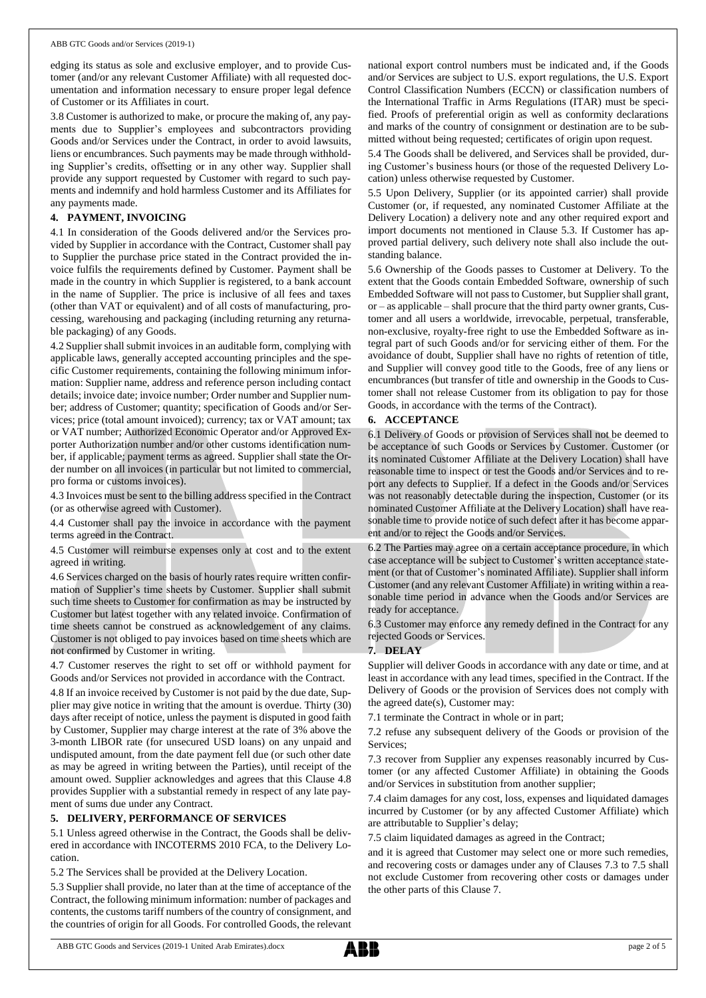#### ABB GTC Goods and/or Services (2019-1)

edging its status as sole and exclusive employer, and to provide Customer (and/or any relevant Customer Affiliate) with all requested documentation and information necessary to ensure proper legal defence of Customer or its Affiliates in court.

3.8 Customer is authorized to make, or procure the making of, any payments due to Supplier's employees and subcontractors providing Goods and/or Services under the Contract, in order to avoid lawsuits, liens or encumbrances. Such payments may be made through withholding Supplier's credits, offsetting or in any other way. Supplier shall provide any support requested by Customer with regard to such payments and indemnify and hold harmless Customer and its Affiliates for any payments made.

# **4. PAYMENT, INVOICING**

4.1 In consideration of the Goods delivered and/or the Services provided by Supplier in accordance with the Contract, Customer shall pay to Supplier the purchase price stated in the Contract provided the invoice fulfils the requirements defined by Customer. Payment shall be made in the country in which Supplier is registered, to a bank account in the name of Supplier. The price is inclusive of all fees and taxes (other than VAT or equivalent) and of all costs of manufacturing, processing, warehousing and packaging (including returning any returnable packaging) of any Goods.

4.2 Supplier shall submit invoices in an auditable form, complying with applicable laws, generally accepted accounting principles and the specific Customer requirements, containing the following minimum information: Supplier name, address and reference person including contact details; invoice date; invoice number; Order number and Supplier number; address of Customer; quantity; specification of Goods and/or Services; price (total amount invoiced); currency; tax or VAT amount; tax or VAT number; Authorized Economic Operator and/or Approved Exporter Authorization number and/or other customs identification number, if applicable; payment terms as agreed. Supplier shall state the Order number on all invoices (in particular but not limited to commercial, pro forma or customs invoices).

4.3 Invoices must be sent to the billing address specified in the Contract (or as otherwise agreed with Customer).

4.4 Customer shall pay the invoice in accordance with the payment terms agreed in the Contract.

4.5 Customer will reimburse expenses only at cost and to the extent agreed in writing.

4.6 Services charged on the basis of hourly rates require written confirmation of Supplier's time sheets by Customer. Supplier shall submit such time sheets to Customer for confirmation as may be instructed by Customer but latest together with any related invoice. Confirmation of time sheets cannot be construed as acknowledgement of any claims. Customer is not obliged to pay invoices based on time sheets which are not confirmed by Customer in writing.

4.7 Customer reserves the right to set off or withhold payment for Goods and/or Services not provided in accordance with the Contract.

4.8 If an invoice received by Customer is not paid by the due date, Supplier may give notice in writing that the amount is overdue. Thirty (30) days after receipt of notice, unless the payment is disputed in good faith by Customer, Supplier may charge interest at the rate of 3% above the 3-month LIBOR rate (for unsecured USD loans) on any unpaid and undisputed amount, from the date payment fell due (or such other date as may be agreed in writing between the Parties), until receipt of the amount owed. Supplier acknowledges and agrees that this Clause 4.8 provides Supplier with a substantial remedy in respect of any late payment of sums due under any Contract.

### **5. DELIVERY, PERFORMANCE OF SERVICES**

5.1 Unless agreed otherwise in the Contract, the Goods shall be delivered in accordance with INCOTERMS 2010 FCA, to the Delivery Location.

5.2 The Services shall be provided at the Delivery Location.

5.3 Supplier shall provide, no later than at the time of acceptance of the Contract, the following minimum information: number of packages and contents, the customs tariff numbers of the country of consignment, and the countries of origin for all Goods. For controlled Goods, the relevant national export control numbers must be indicated and, if the Goods and/or Services are subject to U.S. export regulations, the U.S. Export Control Classification Numbers (ECCN) or classification numbers of the International Traffic in Arms Regulations (ITAR) must be specified. Proofs of preferential origin as well as conformity declarations and marks of the country of consignment or destination are to be submitted without being requested; certificates of origin upon request.

5.4 The Goods shall be delivered, and Services shall be provided, during Customer's business hours (or those of the requested Delivery Location) unless otherwise requested by Customer.

5.5 Upon Delivery, Supplier (or its appointed carrier) shall provide Customer (or, if requested, any nominated Customer Affiliate at the Delivery Location) a delivery note and any other required export and import documents not mentioned in Clause 5.3. If Customer has approved partial delivery, such delivery note shall also include the outstanding balance.

5.6 Ownership of the Goods passes to Customer at Delivery. To the extent that the Goods contain Embedded Software, ownership of such Embedded Software will not passto Customer, but Supplier shall grant, or – as applicable – shall procure that the third party owner grants, Customer and all users a worldwide, irrevocable, perpetual, transferable, non-exclusive, royalty-free right to use the Embedded Software as integral part of such Goods and/or for servicing either of them. For the avoidance of doubt, Supplier shall have no rights of retention of title, and Supplier will convey good title to the Goods, free of any liens or encumbrances (but transfer of title and ownership in the Goods to Customer shall not release Customer from its obligation to pay for those Goods, in accordance with the terms of the Contract).

# **6. ACCEPTANCE**

6.1 Delivery of Goods or provision of Services shall not be deemed to be acceptance of such Goods or Services by Customer. Customer (or its nominated Customer Affiliate at the Delivery Location) shall have reasonable time to inspect or test the Goods and/or Services and to report any defects to Supplier. If a defect in the Goods and/or Services was not reasonably detectable during the inspection, Customer (or its nominated Customer Affiliate at the Delivery Location) shall have reasonable time to provide notice of such defect after it has become apparent and/or to reject the Goods and/or Services.

6.2 The Parties may agree on a certain acceptance procedure, in which case acceptance will be subject to Customer's written acceptance statement (or that of Customer's nominated Affiliate). Supplier shall inform Customer (and any relevant Customer Affiliate) in writing within a reasonable time period in advance when the Goods and/or Services are ready for acceptance.

6.3 Customer may enforce any remedy defined in the Contract for any rejected Goods or Services.

### **7. DELAY**

Supplier will deliver Goods in accordance with any date or time, and at least in accordance with any lead times, specified in the Contract. If the Delivery of Goods or the provision of Services does not comply with the agreed date(s), Customer may:

7.1 terminate the Contract in whole or in part;

7.2 refuse any subsequent delivery of the Goods or provision of the Services;

7.3 recover from Supplier any expenses reasonably incurred by Customer (or any affected Customer Affiliate) in obtaining the Goods and/or Services in substitution from another supplier;

7.4 claim damages for any cost, loss, expenses and liquidated damages incurred by Customer (or by any affected Customer Affiliate) which are attributable to Supplier's delay;

7.5 claim liquidated damages as agreed in the Contract;

and it is agreed that Customer may select one or more such remedies, and recovering costs or damages under any of Clauses 7.3 to 7.5 shall not exclude Customer from recovering other costs or damages under the other parts of this Clause 7.

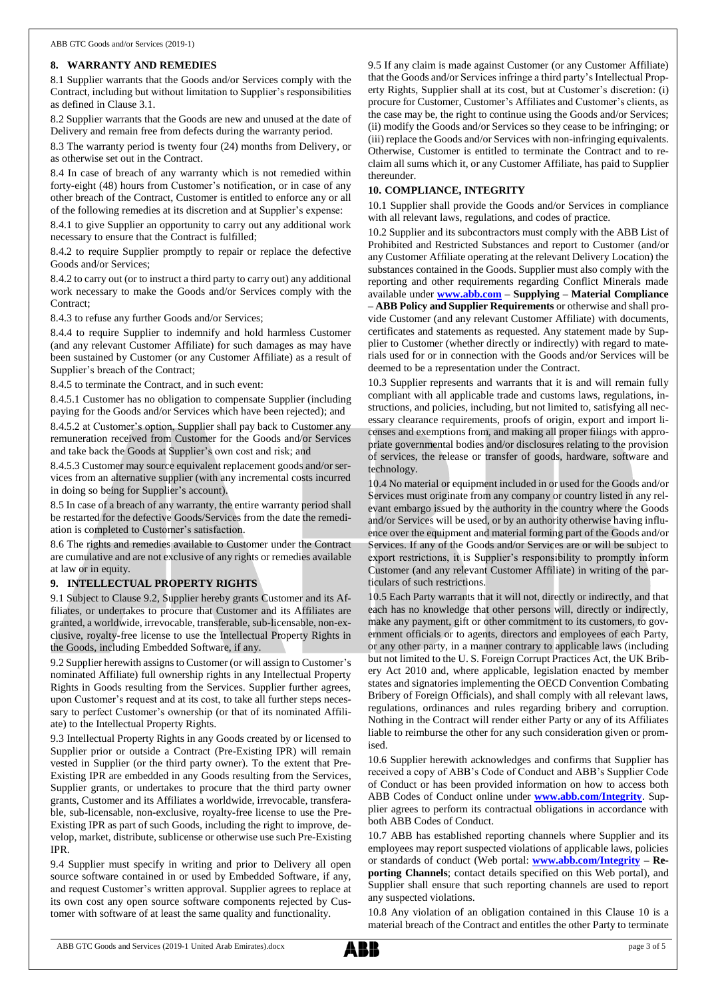# **8. WARRANTY AND REMEDIES**

8.1 Supplier warrants that the Goods and/or Services comply with the Contract, including but without limitation to Supplier's responsibilities as defined in Clause 3.1.

8.2 Supplier warrants that the Goods are new and unused at the date of Delivery and remain free from defects during the warranty period.

8.3 The warranty period is twenty four (24) months from Delivery, or as otherwise set out in the Contract.

8.4 In case of breach of any warranty which is not remedied within forty-eight (48) hours from Customer's notification, or in case of any other breach of the Contract, Customer is entitled to enforce any or all of the following remedies at its discretion and at Supplier's expense:

8.4.1 to give Supplier an opportunity to carry out any additional work necessary to ensure that the Contract is fulfilled;

8.4.2 to require Supplier promptly to repair or replace the defective Goods and/or Services;

8.4.2 to carry out (or to instruct a third party to carry out) any additional work necessary to make the Goods and/or Services comply with the Contract;

8.4.3 to refuse any further Goods and/or Services;

8.4.4 to require Supplier to indemnify and hold harmless Customer (and any relevant Customer Affiliate) for such damages as may have been sustained by Customer (or any Customer Affiliate) as a result of Supplier's breach of the Contract;

8.4.5 to terminate the Contract, and in such event:

8.4.5.1 Customer has no obligation to compensate Supplier (including paying for the Goods and/or Services which have been rejected); and

8.4.5.2 at Customer's option, Supplier shall pay back to Customer any remuneration received from Customer for the Goods and/or Services and take back the Goods at Supplier's own cost and risk; and

8.4.5.3 Customer may source equivalent replacement goods and/or services from an alternative supplier (with any incremental costs incurred in doing so being for Supplier's account).

8.5 In case of a breach of any warranty, the entire warranty period shall be restarted for the defective Goods/Services from the date the remediation is completed to Customer's satisfaction.

8.6 The rights and remedies available to Customer under the Contract are cumulative and are not exclusive of any rights or remedies available at law or in equity.

## **9. INTELLECTUAL PROPERTY RIGHTS**

9.1 Subject to Clause 9.2, Supplier hereby grants Customer and its Affiliates, or undertakes to procure that Customer and its Affiliates are granted, a worldwide, irrevocable, transferable, sub-licensable, non-exclusive, royalty-free license to use the Intellectual Property Rights in the Goods, including Embedded Software, if any.

9.2 Supplier herewith assigns to Customer (or will assign to Customer's nominated Affiliate) full ownership rights in any Intellectual Property Rights in Goods resulting from the Services. Supplier further agrees, upon Customer's request and at its cost, to take all further steps necessary to perfect Customer's ownership (or that of its nominated Affiliate) to the Intellectual Property Rights.

9.3 Intellectual Property Rights in any Goods created by or licensed to Supplier prior or outside a Contract (Pre-Existing IPR) will remain vested in Supplier (or the third party owner). To the extent that Pre-Existing IPR are embedded in any Goods resulting from the Services, Supplier grants, or undertakes to procure that the third party owner grants, Customer and its Affiliates a worldwide, irrevocable, transferable, sub-licensable, non-exclusive, royalty-free license to use the Pre-Existing IPR as part of such Goods, including the right to improve, develop, market, distribute, sublicense or otherwise use such Pre-Existing IPR.

9.4 Supplier must specify in writing and prior to Delivery all open source software contained in or used by Embedded Software, if any, and request Customer's written approval. Supplier agrees to replace at its own cost any open source software components rejected by Customer with software of at least the same quality and functionality.

9.5 If any claim is made against Customer (or any Customer Affiliate) that the Goods and/or Services infringe a third party's Intellectual Property Rights, Supplier shall at its cost, but at Customer's discretion: (i) procure for Customer, Customer's Affiliates and Customer's clients, as the case may be, the right to continue using the Goods and/or Services; (ii) modify the Goods and/or Services so they cease to be infringing; or (iii) replace the Goods and/or Services with non-infringing equivalents. Otherwise, Customer is entitled to terminate the Contract and to reclaim all sums which it, or any Customer Affiliate, has paid to Supplier thereunder.

# **10. COMPLIANCE, INTEGRITY**

10.1 Supplier shall provide the Goods and/or Services in compliance with all relevant laws, regulations, and codes of practice.

10.2 Supplier and its subcontractors must comply with the ABB List of Prohibited and Restricted Substances and report to Customer (and/or any Customer Affiliate operating at the relevant Delivery Location) the substances contained in the Goods. Supplier must also comply with the reporting and other requirements regarding Conflict Minerals made available under **[www.abb.com](http://www.abb.com/) – Supplying – Material Compliance – ABB Policy and Supplier Requirements** or otherwise and shall provide Customer (and any relevant Customer Affiliate) with documents, certificates and statements as requested. Any statement made by Supplier to Customer (whether directly or indirectly) with regard to materials used for or in connection with the Goods and/or Services will be deemed to be a representation under the Contract.

10.3 Supplier represents and warrants that it is and will remain fully compliant with all applicable trade and customs laws, regulations, instructions, and policies, including, but not limited to, satisfying all necessary clearance requirements, proofs of origin, export and import licenses and exemptions from, and making all proper filings with appropriate governmental bodies and/or disclosures relating to the provision of services, the release or transfer of goods, hardware, software and technology.

10.4 No material or equipment included in or used for the Goods and/or Services must originate from any company or country listed in any relevant embargo issued by the authority in the country where the Goods and/or Services will be used, or by an authority otherwise having influence over the equipment and material forming part of the Goods and/or Services. If any of the Goods and/or Services are or will be subject to export restrictions, it is Supplier's responsibility to promptly inform Customer (and any relevant Customer Affiliate) in writing of the particulars of such restrictions.

10.5 Each Party warrants that it will not, directly or indirectly, and that each has no knowledge that other persons will, directly or indirectly, make any payment, gift or other commitment to its customers, to government officials or to agents, directors and employees of each Party, or any other party, in a manner contrary to applicable laws (including but not limited to the U. S. Foreign Corrupt Practices Act, the UK Bribery Act 2010 and, where applicable, legislation enacted by member states and signatories implementing the OECD Convention Combating Bribery of Foreign Officials), and shall comply with all relevant laws, regulations, ordinances and rules regarding bribery and corruption. Nothing in the Contract will render either Party or any of its Affiliates liable to reimburse the other for any such consideration given or promised.

10.6 Supplier herewith acknowledges and confirms that Supplier has received a copy of ABB's Code of Conduct and ABB's Supplier Code of Conduct or has been provided information on how to access both ABB Codes of Conduct online under **[www.abb.com/Integrity](http://www.abb.com/Integrity)**. Supplier agrees to perform its contractual obligations in accordance with both ABB Codes of Conduct.

10.7 ABB has established reporting channels where Supplier and its employees may report suspected violations of applicable laws, policies or standards of conduct (Web portal: **[www.abb.com/Integrity](http://www.abb.com/Integrity) – Reporting Channels**; contact details specified on this Web portal), and Supplier shall ensure that such reporting channels are used to report any suspected violations.

10.8 Any violation of an obligation contained in this Clause 10 is a material breach of the Contract and entitles the other Party to terminate

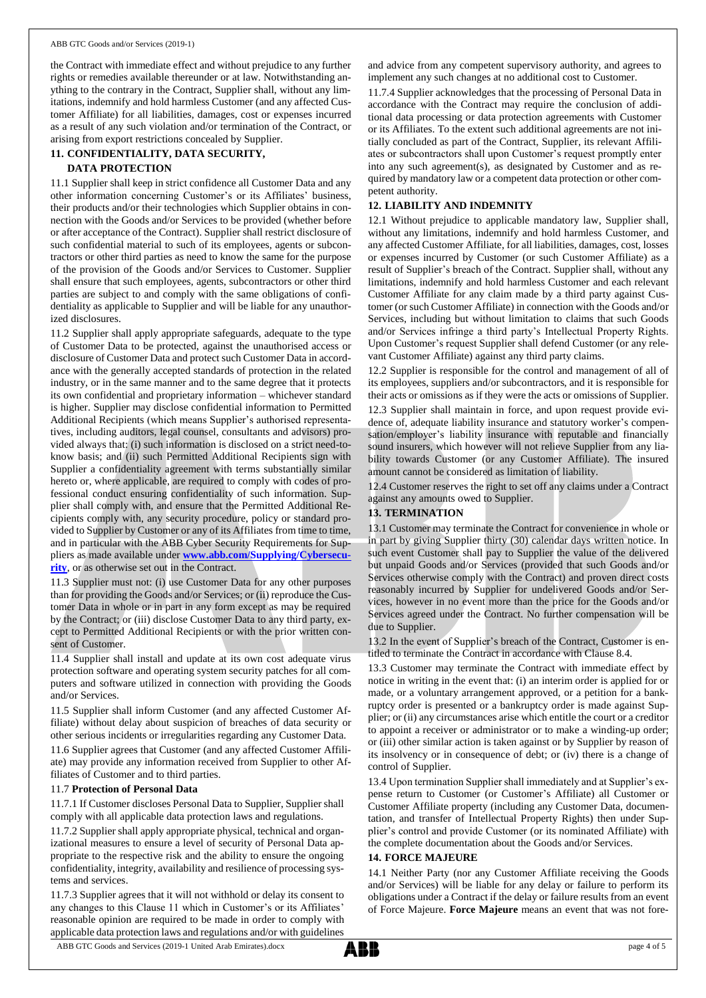#### ABB GTC Goods and/or Services (2019-1)

the Contract with immediate effect and without prejudice to any further rights or remedies available thereunder or at law. Notwithstanding anything to the contrary in the Contract, Supplier shall, without any limitations, indemnify and hold harmless Customer (and any affected Customer Affiliate) for all liabilities, damages, cost or expenses incurred as a result of any such violation and/or termination of the Contract, or arising from export restrictions concealed by Supplier.

# **11. CONFIDENTIALITY, DATA SECURITY,**

## **DATA PROTECTION**

11.1 Supplier shall keep in strict confidence all Customer Data and any other information concerning Customer's or its Affiliates' business, their products and/or their technologies which Supplier obtains in connection with the Goods and/or Services to be provided (whether before or after acceptance of the Contract). Supplier shall restrict disclosure of such confidential material to such of its employees, agents or subcontractors or other third parties as need to know the same for the purpose of the provision of the Goods and/or Services to Customer. Supplier shall ensure that such employees, agents, subcontractors or other third parties are subject to and comply with the same obligations of confidentiality as applicable to Supplier and will be liable for any unauthorized disclosures.

11.2 Supplier shall apply appropriate safeguards, adequate to the type of Customer Data to be protected, against the unauthorised access or disclosure of Customer Data and protect such Customer Data in accordance with the generally accepted standards of protection in the related industry, or in the same manner and to the same degree that it protects its own confidential and proprietary information – whichever standard is higher. Supplier may disclose confidential information to Permitted Additional Recipients (which means Supplier's authorised representatives, including auditors, legal counsel, consultants and advisors) provided always that: (i) such information is disclosed on a strict need-toknow basis; and (ii) such Permitted Additional Recipients sign with Supplier a confidentiality agreement with terms substantially similar hereto or, where applicable, are required to comply with codes of professional conduct ensuring confidentiality of such information. Supplier shall comply with, and ensure that the Permitted Additional Recipients comply with, any security procedure, policy or standard provided to Supplier by Customer or any of its Affiliates from time to time, and in particular with the ABB Cyber Security Requirements for Suppliers as made available under **[www.abb.com/Supplying/Cybersecu](http://www.abb.com/Supplying/Cybersecurity)[rity](http://www.abb.com/Supplying/Cybersecurity)**, or as otherwise set out in the Contract.

11.3 Supplier must not: (i) use Customer Data for any other purposes than for providing the Goods and/or Services; or (ii) reproduce the Customer Data in whole or in part in any form except as may be required by the Contract; or (iii) disclose Customer Data to any third party, except to Permitted Additional Recipients or with the prior written consent of Customer.

11.4 Supplier shall install and update at its own cost adequate virus protection software and operating system security patches for all computers and software utilized in connection with providing the Goods and/or Services.

11.5 Supplier shall inform Customer (and any affected Customer Affiliate) without delay about suspicion of breaches of data security or other serious incidents or irregularities regarding any Customer Data.

11.6 Supplier agrees that Customer (and any affected Customer Affiliate) may provide any information received from Supplier to other Affiliates of Customer and to third parties.

### 11.7 **Protection of Personal Data**

11.7.1 If Customer discloses Personal Data to Supplier, Supplier shall comply with all applicable data protection laws and regulations.

11.7.2 Supplier shall apply appropriate physical, technical and organizational measures to ensure a level of security of Personal Data appropriate to the respective risk and the ability to ensure the ongoing confidentiality, integrity, availability and resilience of processing systems and services.

11.7.3 Supplier agrees that it will not withhold or delay its consent to any changes to this Clause 11 which in Customer's or its Affiliates' reasonable opinion are required to be made in order to comply with applicable data protection laws and regulations and/or with guidelines

and advice from any competent supervisory authority, and agrees to implement any such changes at no additional cost to Customer.

11.7.4 Supplier acknowledges that the processing of Personal Data in accordance with the Contract may require the conclusion of additional data processing or data protection agreements with Customer or its Affiliates. To the extent such additional agreements are not initially concluded as part of the Contract, Supplier, its relevant Affiliates or subcontractors shall upon Customer's request promptly enter into any such agreement(s), as designated by Customer and as required by mandatory law or a competent data protection or other competent authority.

## **12. LIABILITY AND INDEMNITY**

12.1 Without prejudice to applicable mandatory law, Supplier shall, without any limitations, indemnify and hold harmless Customer, and any affected Customer Affiliate, for all liabilities, damages, cost, losses or expenses incurred by Customer (or such Customer Affiliate) as a result of Supplier's breach of the Contract. Supplier shall, without any limitations, indemnify and hold harmless Customer and each relevant Customer Affiliate for any claim made by a third party against Customer (or such Customer Affiliate) in connection with the Goods and/or Services, including but without limitation to claims that such Goods and/or Services infringe a third party's Intellectual Property Rights. Upon Customer's request Supplier shall defend Customer (or any relevant Customer Affiliate) against any third party claims.

12.2 Supplier is responsible for the control and management of all of its employees, suppliers and/or subcontractors, and it is responsible for their acts or omissions as if they were the acts or omissions of Supplier. 12.3 Supplier shall maintain in force, and upon request provide evidence of, adequate liability insurance and statutory worker's compensation/employer's liability insurance with reputable and financially sound insurers, which however will not relieve Supplier from any liability towards Customer (or any Customer Affiliate). The insured amount cannot be considered as limitation of liability.

12.4 Customer reserves the right to set off any claims under a Contract against any amounts owed to Supplier.

## **13. TERMINATION**

13.1 Customer may terminate the Contract for convenience in whole or in part by giving Supplier thirty (30) calendar days written notice. In such event Customer shall pay to Supplier the value of the delivered but unpaid Goods and/or Services (provided that such Goods and/or Services otherwise comply with the Contract) and proven direct costs reasonably incurred by Supplier for undelivered Goods and/or Services, however in no event more than the price for the Goods and/or Services agreed under the Contract. No further compensation will be due to Supplier.

13.2 In the event of Supplier's breach of the Contract, Customer is entitled to terminate the Contract in accordance with Clause 8.4.

13.3 Customer may terminate the Contract with immediate effect by notice in writing in the event that: (i) an interim order is applied for or made, or a voluntary arrangement approved, or a petition for a bankruptcy order is presented or a bankruptcy order is made against Supplier; or (ii) any circumstances arise which entitle the court or a creditor to appoint a receiver or administrator or to make a winding-up order; or (iii) other similar action is taken against or by Supplier by reason of its insolvency or in consequence of debt; or (iv) there is a change of control of Supplier.

13.4 Upon termination Supplier shall immediately and at Supplier's expense return to Customer (or Customer's Affiliate) all Customer or Customer Affiliate property (including any Customer Data, documentation, and transfer of Intellectual Property Rights) then under Supplier's control and provide Customer (or its nominated Affiliate) with the complete documentation about the Goods and/or Services.

### **14. FORCE MAJEURE**

14.1 Neither Party (nor any Customer Affiliate receiving the Goods and/or Services) will be liable for any delay or failure to perform its obligations under a Contract if the delay or failure results from an event of Force Majeure. **Force Majeure** means an event that was not fore-

ABB GTC Goods and Services (2019-1 United Arab Emirates).docx page 4 of 5